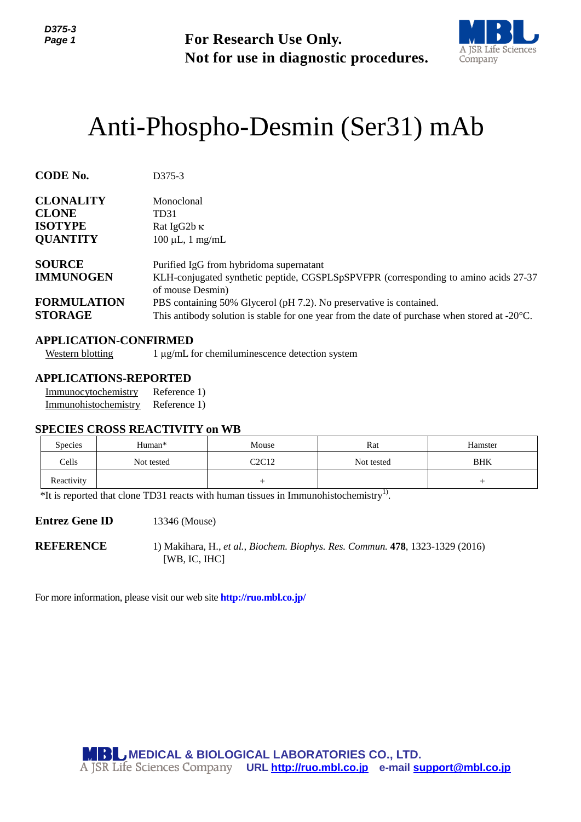

# Anti-Phospho-Desmin (Ser31) mAb

| Page 1                                                                |                                                                                                       | <b>For Research Use Only.</b>                                                                                                                                                                                                                                                                                                        | Not for use in diagnostic procedures.                                         | A JSR Life Sciences<br>Company |  |  |
|-----------------------------------------------------------------------|-------------------------------------------------------------------------------------------------------|--------------------------------------------------------------------------------------------------------------------------------------------------------------------------------------------------------------------------------------------------------------------------------------------------------------------------------------|-------------------------------------------------------------------------------|--------------------------------|--|--|
|                                                                       |                                                                                                       |                                                                                                                                                                                                                                                                                                                                      | Anti-Phospho-Desmin (Ser31) mAb                                               |                                |  |  |
| <b>CODE No.</b>                                                       | D375-3                                                                                                |                                                                                                                                                                                                                                                                                                                                      |                                                                               |                                |  |  |
| <b>CLONALITY</b><br><b>CLONE</b><br><b>ISOTYPE</b><br><b>QUANTITY</b> | Monoclonal<br>TD31<br>Rat IgG2b K<br>$100 \mu L$ , 1 mg/mL                                            |                                                                                                                                                                                                                                                                                                                                      |                                                                               |                                |  |  |
| <b>SOURCE</b><br><b>IMMUNOGEN</b><br><b>FORMULATION</b>               |                                                                                                       | Purified IgG from hybridoma supernatant<br>KLH-conjugated synthetic peptide, CGSPLSpSPVFPR (corresponding to amino acids 27-37<br>of mouse Desmin)<br>PBS containing 50% Glycerol (pH 7.2). No preservative is contained.<br>This antibody solution is stable for one year from the date of purchase when stored at $-20^{\circ}$ C. |                                                                               |                                |  |  |
| <b>STORAGE</b><br><b>Western blotting</b>                             | <b>APPLICATION-CONFIRMED</b>                                                                          | 1 μg/mL for chemiluminescence detection system                                                                                                                                                                                                                                                                                       |                                                                               |                                |  |  |
| Immunocytochemistry<br>Immunohistochemistry                           | <b>APPLICATIONS-REPORTED</b><br>Reference 1)<br>Reference 1)<br><b>SPECIES CROSS REACTIVITY on WB</b> |                                                                                                                                                                                                                                                                                                                                      |                                                                               |                                |  |  |
| Species                                                               | Human*                                                                                                | Mouse                                                                                                                                                                                                                                                                                                                                | Rat                                                                           | Hamster                        |  |  |
| Cells                                                                 | Not tested                                                                                            | C <sub>2</sub> C <sub>12</sub>                                                                                                                                                                                                                                                                                                       | Not tested                                                                    | BHK                            |  |  |
| Reactivity                                                            |                                                                                                       | $^{+}$                                                                                                                                                                                                                                                                                                                               |                                                                               | $^{+}$                         |  |  |
|                                                                       | $*$ It is reported that clone TD31 reacts with human tissues in Immunohistochemistry <sup>1)</sup> .  |                                                                                                                                                                                                                                                                                                                                      |                                                                               |                                |  |  |
| <b>Entrez Gene ID</b>                                                 | 13346 (Mouse)                                                                                         |                                                                                                                                                                                                                                                                                                                                      |                                                                               |                                |  |  |
| <b>REFERENCE</b>                                                      | [WB, IC, IHC]                                                                                         |                                                                                                                                                                                                                                                                                                                                      | 1) Makihara, H., et al., Biochem. Biophys. Res. Commun. 478, 1323-1329 (2016) |                                |  |  |
|                                                                       | For more information, please visit our web site <b>http://ruo.mbl.co.jp/</b>                          |                                                                                                                                                                                                                                                                                                                                      |                                                                               |                                |  |  |
|                                                                       | <b>MBL MEDICAL &amp; BIOLOGICAL LABORATORIES CO., LTD.</b>                                            |                                                                                                                                                                                                                                                                                                                                      | A JSR Life Sciences Company URL http://ruo.mbl.co.jp e-mail support@mbl.co.jp |                                |  |  |

# **APPLICATION-CONFIRMED**

## **APPLICATIONS-REPORTED**

#### **SPECIES CROSS REACTIVITY on WB**

| <b>Species</b> | Human*     | Mouse                          | Rat        | Hamster    |
|----------------|------------|--------------------------------|------------|------------|
| Cells          | Not tested | C <sub>2</sub> C <sub>12</sub> | Not tested | <b>BHK</b> |
| Reactivity     |            |                                |            |            |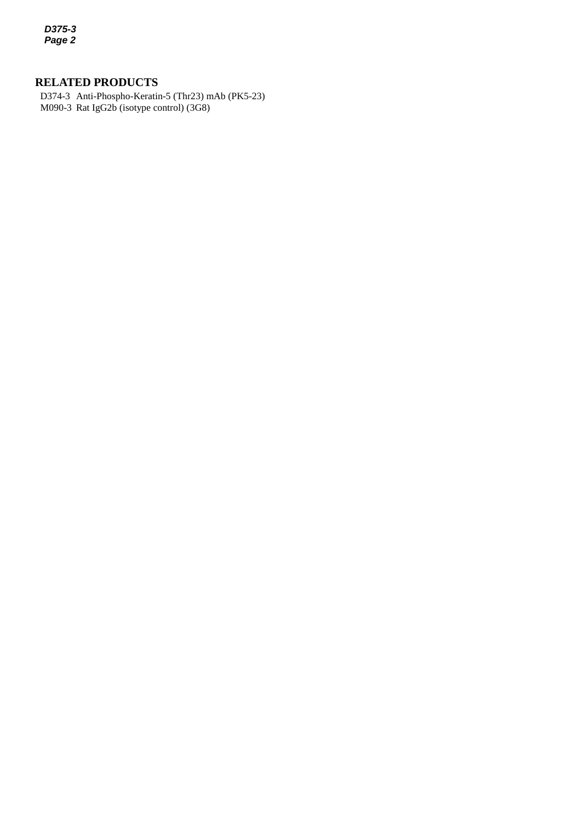*D375-3 Page 2*

# **RELATED PRODUCTS**

*2* M090-3 Rat IgG2b (isotype control) (3G8)D374-3 Anti-Phospho-Keratin-5 (Thr23) mAb (PK5-23)